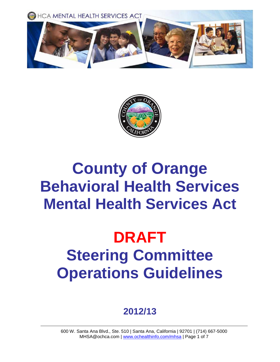



# **County of Orange Behavioral Health Services Mental Health Services Act**

# **DRAFT Steering Committee Operations Guidelines**

### **2012/13**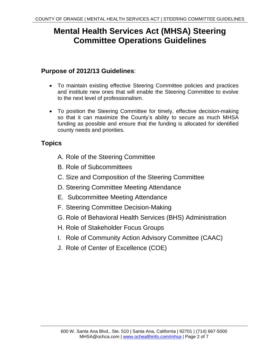### **Mental Health Services Act (MHSA) Steering Committee Operations Guidelines**

#### **Purpose of 2012/13 Guidelines**:

- To maintain existing effective Steering Committee policies and practices and institute new ones that will enable the Steering Committee to evolve to the next level of professionalism.
- To position the Steering Committee for timely, effective decision-making so that it can maximize the County's ability to secure as much MHSA funding as possible and ensure that the funding is allocated for identified county needs and priorities.

#### **Topics**

- A. Role of the Steering Committee
- B. Role of Subcommittees
- C. Size and Composition of the Steering Committee
- D. Steering Committee Meeting Attendance
- E. Subcommittee Meeting Attendance
- F. Steering Committee Decision-Making
- G. Role of Behavioral Health Services (BHS) Administration
- H. Role of Stakeholder Focus Groups
- I. Role of Community Action Advisory Committee (CAAC)
- J. Role of Center of Excellence (COE)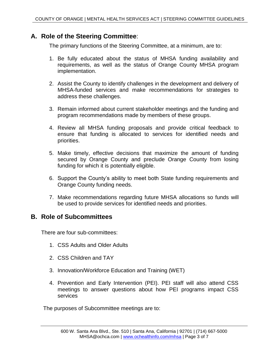#### **A. Role of the Steering Committee**:

The primary functions of the Steering Committee, at a minimum, are to:

- 1. Be fully educated about the status of MHSA funding availability and requirements, as well as the status of Orange County MHSA program implementation.
- 2. Assist the County to identify challenges in the development and delivery of MHSA-funded services and make recommendations for strategies to address these challenges.
- 3. Remain informed about current stakeholder meetings and the funding and program recommendations made by members of these groups.
- 4. Review all MHSA funding proposals and provide critical feedback to ensure that funding is allocated to services for identified needs and priorities.
- 5. Make timely, effective decisions that maximize the amount of funding secured by Orange County and preclude Orange County from losing funding for which it is potentially eligible.
- 6. Support the County's ability to meet both State funding requirements and Orange County funding needs.
- 7. Make recommendations regarding future MHSA allocations so funds will be used to provide services for identified needs and priorities.

#### **B. Role of Subcommittees**

There are four sub-committees:

- 1. CSS Adults and Older Adults
- 2. CSS Children and TAY
- 3. Innovation/Workforce Education and Training (WET)
- 4. Prevention and Early Intervention (PEI). PEI staff will also attend CSS meetings to answer questions about how PEI programs impact CSS services

The purposes of Subcommittee meetings are to: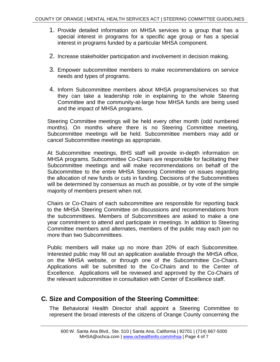- 1. Provide detailed information on MHSA services to a group that has a special interest in programs for a specific age group or has a special interest in programs funded by a particular MHSA component.
- 2. Increase stakeholder participation and involvement in decision making.
- 3. Empower subcommittee members to make recommendations on service needs and types of programs.
- 4. Inform Subcommittee members about MHSA programs/services so that they can take a leadership role in explaining to the whole Steering Committee and the community-at-large how MHSA funds are being used and the impact of MHSA programs.

Steering Committee meetings will be held every other month (odd numbered months). On months where there is no Steering Committee meeting, Subcommittee meetings will be held. Subcommittee members may add or cancel Subcommittee meetings as appropriate.

At Subcommittee meetings, BHS staff will provide in-depth information on MHSA programs. Subcommittee Co-Chairs are responsible for facilitating their Subcommittee meetings and will make recommendations on behalf of the Subcommittee to the entire MHSA Steering Committee on issues regarding the allocation of new funds or cuts in funding. Decisions of the Subcommittees will be determined by consensus as much as possible, or by vote of the simple majority of members present when not.

Chairs or Co-Chairs of each subcommittee are responsible for reporting back to the MHSA Steering Committee on discussions and recommendations from the subcommittees. Members of Subcommittees are asked to make a one year commitment to attend and participate in meetings. In addition to Steering Committee members and alternates, members of the public may each join no more than two Subcommittees.

Public members will make up no more than 20% of each Subcommittee. Interested public may fill out an application available through the MHSA office, on the MHSA website, or through one of the Subcommittee Co-Chairs. Applications will be submitted to the Co-Chairs and to the Center of Excellence. Applications will be reviewed and approved by the Co-Chairs of the relevant subcommittee in consultation with Center of Excellence staff.

#### **C. Size and Composition of the Steering Committee**:

The Behavioral Health Director shall appoint a Steering Committee to represent the broad interests of the citizens of Orange County concerning the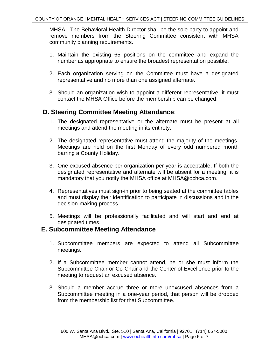MHSA. The Behavioral Health Director shall be the sole party to appoint and remove members from the Steering Committee consistent with MHSA community planning requirements.

- 1. Maintain the existing 65 positions on the committee and expand the number as appropriate to ensure the broadest representation possible.
- 2. Each organization serving on the Committee must have a designated representative and no more than one assigned alternate.
- 3. Should an organization wish to appoint a different representative, it must contact the MHSA Office before the membership can be changed.

#### **D. Steering Committee Meeting Attendance**:

- 1. The designated representative or the alternate must be present at all meetings and attend the meeting in its entirety.
- 2. The designated representative must attend the majority of the meetings. Meetings are held on the first Monday of every odd numbered month barring a County Holiday.
- 3. One excused absence per organization per year is acceptable. If both the designated representative and alternate will be absent for a meeting, it is mandatory that you notify the MHSA office at MHSA@ochca.com.
- 4. Representatives must sign-in prior to being seated at the committee tables and must display their identification to participate in discussions and in the decision-making process.
- 5. Meetings will be professionally facilitated and will start and end at designated times.

#### **E. Subcommittee Meeting Attendance**

- 1. Subcommittee members are expected to attend all Subcommittee meetings.
- 2. If a Subcommittee member cannot attend, he or she must inform the Subcommittee Chair or Co-Chair and the Center of Excellence prior to the meeting to request an excused absence.
- 3. Should a member accrue three or more unexcused absences from a Subcommittee meeting in a one-year period, that person will be dropped from the membership list for that Subcommittee.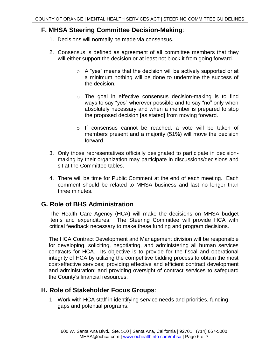#### **F. MHSA Steering Committee Decision-Making**:

- 1. Decisions will normally be made via consensus.
- 2. Consensus is defined as agreement of all committee members that they will either support the decision or at least not block it from going forward.
	- $\circ$  A "yes" means that the decision will be actively supported or at a minimum nothing will be done to undermine the success of the decision.
	- o The goal in effective consensus decision-making is to find ways to say "yes" wherever possible and to say "no" only when absolutely necessary and when a member is prepared to stop the proposed decision [as stated] from moving forward.
	- o If consensus cannot be reached, a vote will be taken of members present and a majority (51%) will move the decision forward.
- 3. Only those representatives officially designated to participate in decisionmaking by their organization may participate in discussions/decisions and sit at the Committee tables.
- 4. There will be time for Public Comment at the end of each meeting. Each comment should be related to MHSA business and last no longer than three minutes.

#### **G. Role of BHS Administration**

The Health Care Agency (HCA) will make the decisions on MHSA budget items and expenditures. The Steering Committee will provide HCA with critical feedback necessary to make these funding and program decisions.

The HCA Contract Development and Management division will be responsible for developing, soliciting, negotiating, and administering all human services contracts for HCA. Its objective is to provide for the fiscal and operational integrity of HCA by utilizing the competitive bidding process to obtain the most cost-effective services; providing effective and efficient contract development and administration; and providing oversight of contract services to safeguard the County's financial resources.

#### **H. Role of Stakeholder Focus Groups**:

1. Work with HCA staff in identifying service needs and priorities, funding gaps and potential programs.